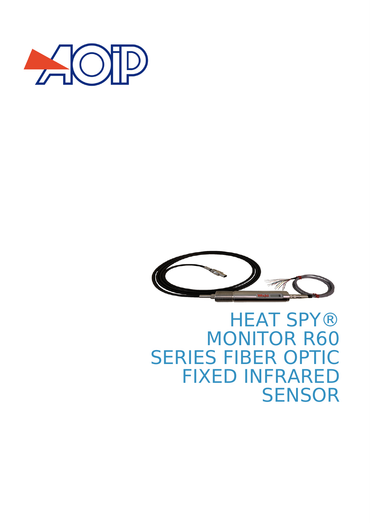



## **HEAT SPY®** MONITOR R60 SERIES FIBER OPTIC FIXED INFRARED **SENSOR**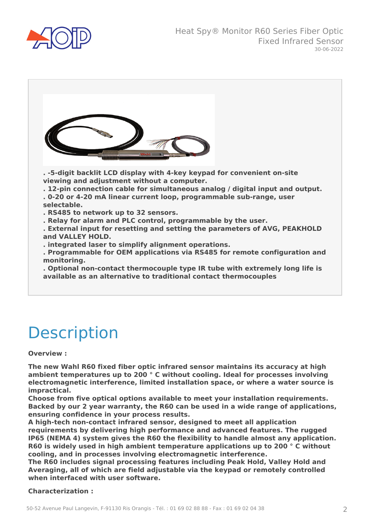



## **Description**

#### **Overview :**

**The new Wahl R60 fixed fiber optic infrared sensor maintains its accuracy at high ambient temperatures up to 200 ° C without cooling. Ideal for processes involving electromagnetic interference, limited installation space, or where a water source is impractical.**

**Choose from five optical options available to meet your installation requirements. Backed by our 2 year warranty, the R60 can be used in a wide range of applications, ensuring confidence in your process results.**

**A high-tech non-contact infrared sensor, designed to meet all application requirements by delivering high performance and advanced features. The rugged IP65 (NEMA 4) system gives the R60 the flexibility to handle almost any application. R60 is widely used in high ambient temperature applications up to 200 ° C without cooling, and in processes involving electromagnetic interference.**

**The R60 includes signal processing features including Peak Hold, Valley Hold and Averaging, all of which are field adjustable via the keypad or remotely controlled when interfaced with user software.**

#### **Characterization :**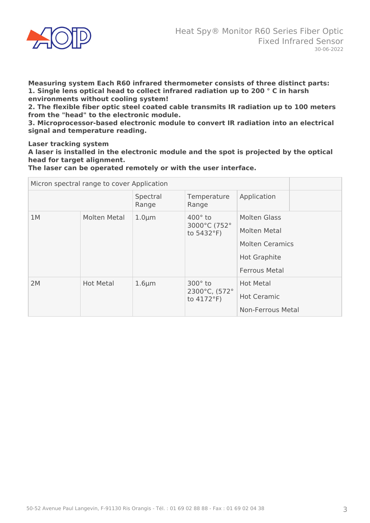

**Measuring system Each R60 infrared thermometer consists of three distinct parts: 1. Single lens optical head to collect infrared radiation up to 200 ° C in harsh environments without cooling system!**

**2. The flexible fiber optic steel coated cable transmits IR radiation up to 100 meters from the "head" to the electronic module.**

**3. Microprocessor-based electronic module to convert IR radiation into an electrical signal and temperature reading.**

**Laser tracking system**

**A laser is installed in the electronic module and the spot is projected by the optical head for target alignment.**

**The laser can be operated remotely or with the user interface.**

| Micron spectral range to cover Application |                  |                   |                                                         |                        |  |
|--------------------------------------------|------------------|-------------------|---------------------------------------------------------|------------------------|--|
|                                            |                  | Spectral<br>Range | Temperature<br>Range                                    | Application            |  |
| 1M                                         | Molten Metal     | $1.0 \mu m$       | $400^\circ$ to<br>3000°C (752°<br>to $5432^{\circ}F$ )  | <b>Molten Glass</b>    |  |
|                                            |                  |                   |                                                         | <b>Molten Metal</b>    |  |
|                                            |                  |                   |                                                         | <b>Molten Ceramics</b> |  |
|                                            |                  |                   |                                                         | <b>Hot Graphite</b>    |  |
|                                            |                  |                   |                                                         | <b>Ferrous Metal</b>   |  |
| 2M                                         | <b>Hot Metal</b> | $1.6 \mu m$       | $300^\circ$ to<br>2300°C, (572°<br>to $4172^{\circ}F$ ) | <b>Hot Metal</b>       |  |
|                                            |                  |                   |                                                         | <b>Hot Ceramic</b>     |  |
|                                            |                  |                   |                                                         | Non-Ferrous Metal      |  |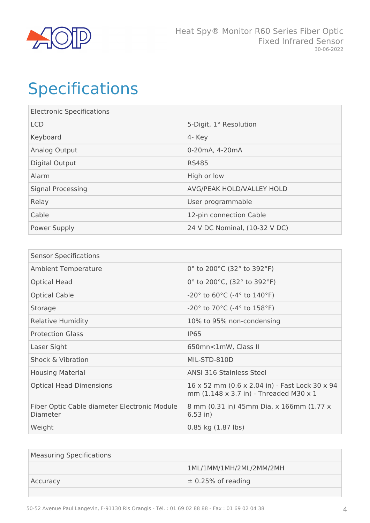

# Specifications

| <b>Electronic Specifications</b> |                               |  |
|----------------------------------|-------------------------------|--|
| <b>LCD</b>                       | 5-Digit, 1° Resolution        |  |
| Keyboard                         | 4- Key                        |  |
| Analog Output                    | 0-20mA, 4-20mA                |  |
| <b>Digital Output</b>            | <b>RS485</b>                  |  |
| Alarm                            | High or low                   |  |
| <b>Signal Processing</b>         | AVG/PEAK HOLD/VALLEY HOLD     |  |
| Relay                            | User programmable             |  |
| Cable                            | 12-pin connection Cable       |  |
| <b>Power Supply</b>              | 24 V DC Nominal, (10-32 V DC) |  |

| <b>Sensor Specifications</b>                                    |                                                                                                         |  |
|-----------------------------------------------------------------|---------------------------------------------------------------------------------------------------------|--|
| <b>Ambient Temperature</b>                                      | 0° to 200°C (32° to 392°F)                                                                              |  |
| <b>Optical Head</b>                                             | 0° to 200°C, (32° to 392°F)                                                                             |  |
| <b>Optical Cable</b>                                            | $-20^{\circ}$ to 60 $^{\circ}$ C (-4 $^{\circ}$ to 140 $^{\circ}$ F)                                    |  |
| Storage                                                         | -20 $^{\circ}$ to 70 $^{\circ}$ C (-4 $^{\circ}$ to 158 $^{\circ}$ F)                                   |  |
| <b>Relative Humidity</b>                                        | 10% to 95% non-condensing                                                                               |  |
| <b>Protection Glass</b>                                         | <b>IP65</b>                                                                                             |  |
| Laser Sight                                                     | 650mn<1mW, Class II                                                                                     |  |
| <b>Shock &amp; Vibration</b>                                    | MIL-STD-810D                                                                                            |  |
| <b>Housing Material</b>                                         | <b>ANSL 316 Stainless Steel</b>                                                                         |  |
| <b>Optical Head Dimensions</b>                                  | 16 x 52 mm (0.6 x 2.04 in) - Fast Lock 30 x 94<br>mm $(1.148 \times 3.7 \text{ in})$ - Threaded M30 x 1 |  |
| Fiber Optic Cable diameter Electronic Module<br><b>Diameter</b> | 8 mm (0.31 in) 45mm Dia. x 166mm (1.77 x<br>$6.53$ in)                                                  |  |
| Weight                                                          | $0.85$ kg $(1.87$ lbs)                                                                                  |  |

| <b>Measuring Specifications</b> |                         |  |
|---------------------------------|-------------------------|--|
|                                 | 1ML/1MM/1MH/2ML/2MM/2MH |  |
| Accuracy                        | $\pm$ 0.25% of reading  |  |
|                                 |                         |  |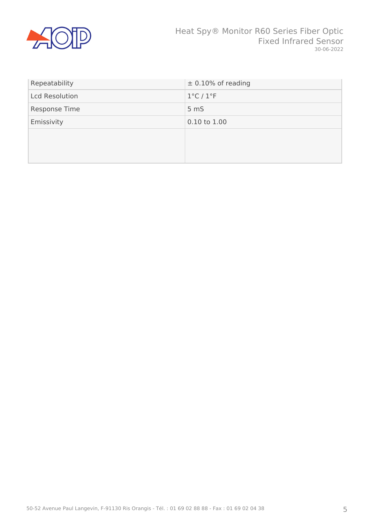

| Repeatability         | $\pm$ 0.10% of reading        |
|-----------------------|-------------------------------|
| <b>Lcd Resolution</b> | $1^{\circ}$ C / $1^{\circ}$ F |
| Response Time         | 5 <sub>m</sub>                |
| Emissivity            | 0.10 to 1.00                  |
|                       |                               |
|                       |                               |
|                       |                               |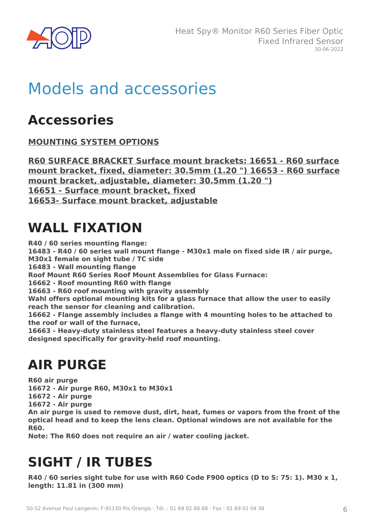

## Models and accessories

#### **Accessories**

**MOUNTING SYSTEM OPTIONS**

**R60 SURFACE BRACKET Surface mount brackets: 16651 - R60 surface mount bracket, fixed, diameter: 30.5mm (1.20 ") 16653 - R60 surface mount bracket, adjustable, diameter: 30.5mm (1.20 ") 16651 - Surface mount bracket, fixed 16653- Surface mount bracket, adjustable**

### **WALL FIXATION**

**R40 / 60 series mounting flange: 16483 - R40 / 60 series wall mount flange - M30x1 male on fixed side IR / air purge, M30x1 female on sight tube / TC side 16483 - Wall mounting flange Roof Mount R60 Series Roof Mount Assemblies for Glass Furnace: 16662 - Roof mounting R60 with flange 16663 - R60 roof mounting with gravity assembly Wahl offers optional mounting kits for a glass furnace that allow the user to easily reach the sensor for cleaning and calibration. 16662 - Flange assembly includes a flange with 4 mounting holes to be attached to the roof or wall of the furnace,**

**16663 - Heavy-duty stainless steel features a heavy-duty stainless steel cover designed specifically for gravity-held roof mounting.**

### **AIR PURGE**

**R60 air purge 16672 - Air purge R60, M30x1 to M30x1 16672 - Air purge 16672 - Air purge An air purge is used to remove dust, dirt, heat, fumes or vapors from the front of the optical head and to keep the lens clean. Optional windows are not available for the R60.**

**Note: The R60 does not require an air / water cooling jacket.**

## **SIGHT / IR TUBES**

**R40 / 60 series sight tube for use with R60 Code F900 optics (D to S: 75: 1). M30 x 1, length: 11.81 in (300 mm)**